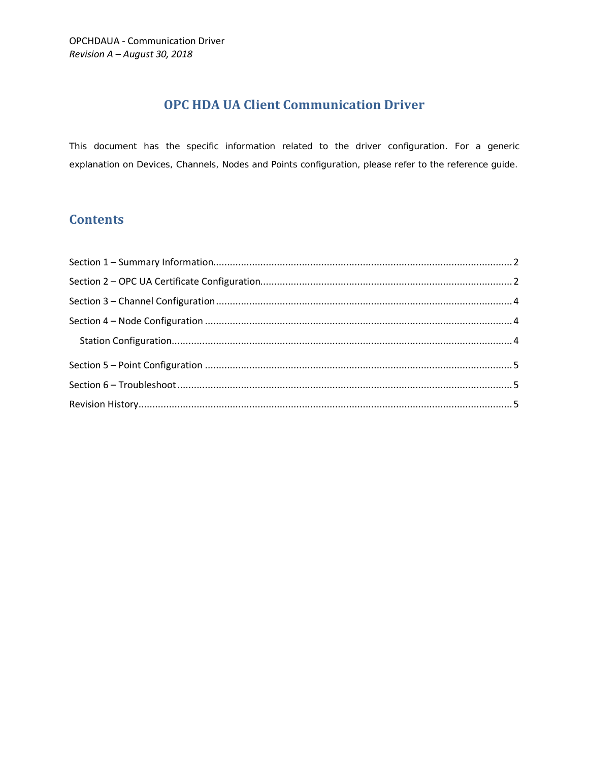# **OPC HDA UA Client Communication Driver**

This document has the specific information related to the driver configuration. For a generic explanation on Devices, Channels, Nodes and Points configuration, please refer to the reference guide.

# **Contents**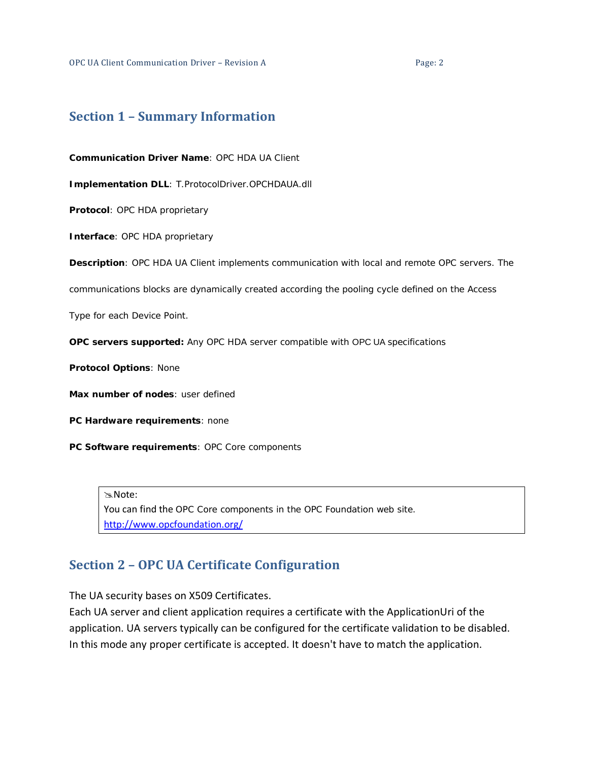# <span id="page-1-0"></span>**Section 1 – Summary Information**

**Communication Driver Name**: OPC HDA UA Client

**Implementation DLL**: T.ProtocolDriver.OPCHDAUA.dll

**Protocol**: OPC HDA proprietary

**Interface**: OPC HDA proprietary

**Description**: OPC HDA UA Client implements communication with local and remote OPC servers. The

communications blocks are dynamically created according the pooling cycle defined on the Access

Type for each Device Point.

**OPC servers supported:** Any OPC HDA server compatible with OPC UA specifications

**Protocol Options**: None

**Max number of nodes**: user defined

**PC Hardware requirements**: none

**PC Software requirements**: OPC Core components

Note:

You can find the OPC Core components in the OPC Foundation web site. <http://www.opcfoundation.org/>

# <span id="page-1-1"></span>**Section 2 – OPC UA Certificate Configuration**

The UA security bases on X509 Certificates.

Each UA server and client application requires a certificate with the ApplicationUri of the application. UA servers typically can be configured for the certificate validation to be disabled. In this mode any proper certificate is accepted. It doesn't have to match the application.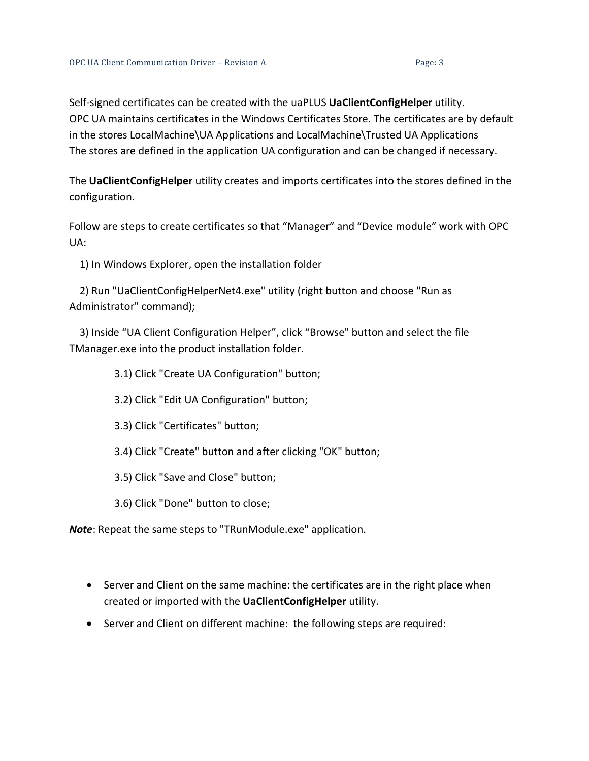Self-signed certificates can be created with the uaPLUS **UaClientConfigHelper** utility. [OPC](http://opcda.net/) UA maintains certificates in the Windows Certificates Store. The certificates are by default in the stores LocalMachine\UA Applications and LocalMachine\Trusted UA Applications The stores are defined in the application UA configuration and can be changed if necessary.

The **UaClientConfigHelper** utility creates and imports certificates into the stores defined in the configuration.

Follow are steps to create certificates so that "Manager" and "Device module" work with OPC UA:

1) In Windows Explorer, open the installation folder

 2) Run "UaClientConfigHelperNet4.exe" utility (right button and choose "Run as Administrator" command);

 3) Inside "UA Client Configuration Helper", click "Browse" button and select the file TManager.exe into the product installation folder.

3.1) Click "Create UA Configuration" button;

- 3.2) Click "Edit UA Configuration" button;
- 3.3) Click "Certificates" button;
- 3.4) Click "Create" button and after clicking "OK" button;
- 3.5) Click "Save and Close" button;

3.6) Click "Done" button to close;

*Note*: Repeat the same steps to "TRunModule.exe" application.

- Server and Client on the same machine: the certificates are in the right place when created or imported with the **UaClientConfigHelper** utility.
- Server and Client on different machine: the following steps are required: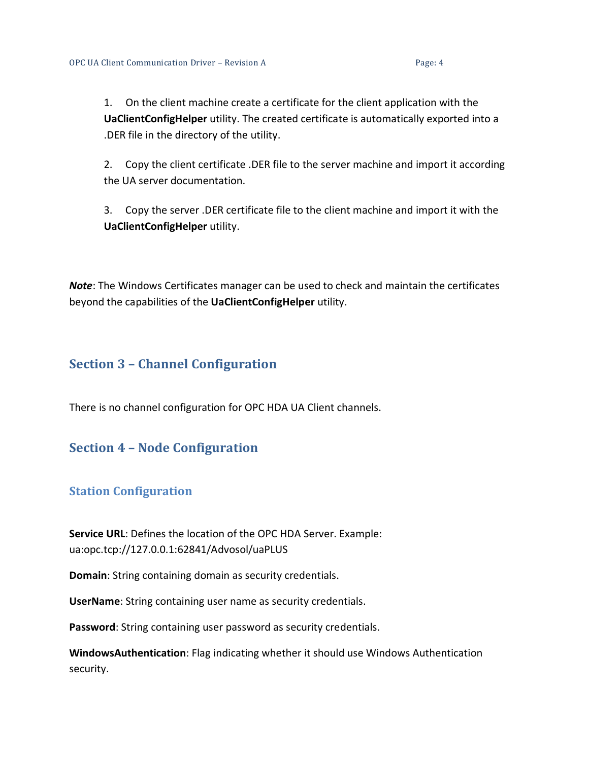1. On the client machine create a certificate for the client application with the **UaClientConfigHelper** utility. The created certificate is automatically exported into a .DER file in the directory of the utility.

2. Copy the client certificate .DER file to the server machine and import it according the UA server documentation.

3. Copy the server .DER certificate file to the client machine and import it with the **UaClientConfigHelper** utility.

*Note*: The Windows Certificates manager can be used to check and maintain the certificates beyond the capabilities of the **UaClientConfigHelper** utility.

# <span id="page-3-0"></span>**Section 3 – Channel Configuration**

There is no channel configuration for OPC HDA UA Client channels.

# <span id="page-3-1"></span>**Section 4 – Node Configuration**

## <span id="page-3-2"></span>**Station Configuration**

**Service URL**: Defines the location of the OPC HDA Server. Example: ua:opc.tcp://127.0.0.1:62841/Advosol/uaPLUS

**Domain**: String containing domain as security credentials.

**UserName**: String containing user name as security credentials.

**Password**: String containing user password as security credentials.

**WindowsAuthentication**: Flag indicating whether it should use Windows Authentication security.